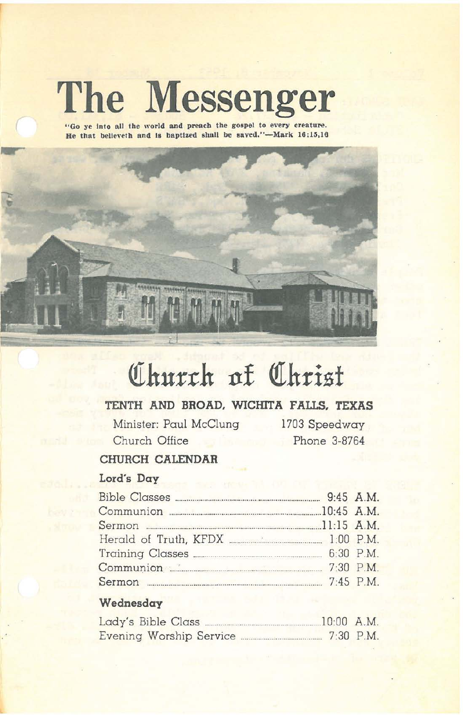# **The Messenger**

"Go ye into all the world and preach the gospel to every creature. He that believeth and is baptized shall be saved."-Mark 16:15,16



# <u>Church</u> of Christ</u>

## **TENTH AND BROAD. WICHITA FALLS. TEXAS**

Minister: Paul McClung Church Office

1703 Speedway Phone 3-8764

### **CHURCH CALENDAR**

#### Lord's **Day**

| Communion 20145 A.M.                          |  |
|-----------------------------------------------|--|
| Sermon <b>Manual Communication</b> 21:15 A.M. |  |
|                                               |  |
|                                               |  |
|                                               |  |
| Sermon 2:45 P.M.                              |  |

#### **Wednesday**

| Lady's Bible Class      | $10:00$ A.M. |             |
|-------------------------|--------------|-------------|
| Evening Worship Service |              | $7:30$ P.M. |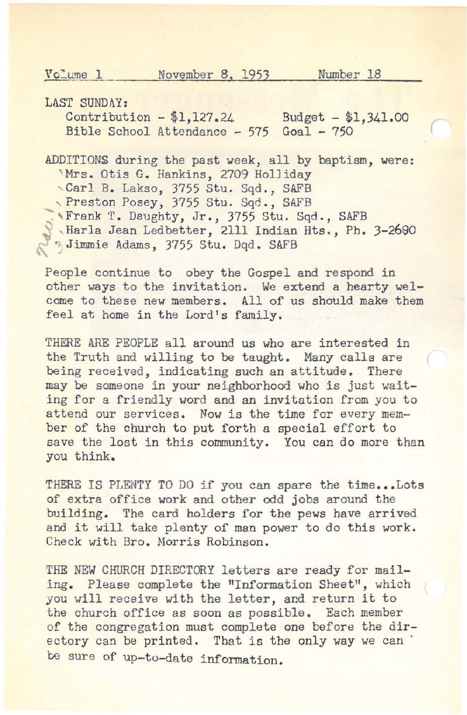Vclume 1 November 8, 1953 Number 18

LAST SUNDAY:

Contribution - \$1,127.24 Bible School Attendance - 575 Goal - 750 Budget - \$1,341.00

ADDITIONS during the past week, all by baptism, were: 'Mrs. Otis G. Hankins, 2709 Holliday ,Carl **B.** Lakso, 3755 Stu. Sqd., SAFB Preston Posey, 3755 Stu. Sqd., SAFB "Frank T. Daughty, Jr., 3755 Stu. Sqd., SAFB ,HarIa Jean Ledbetter, 2111 Indian Hts., Ph. 3-2690 :, Jimmie Adams, 3755 stu. Dqd. SAFB

People continue to obey the Gospel and respond in other ways to the invitation. We extend a hearty welcome to these new members. All of us should make them feel at home in the Lord's family.

THERE ARE PEOPLE all around us who are interested in the Truth and willing to be taught. Many calls are being received, indicating such an attitude. There may be someone in your neighborhood who is just waiting for a friendly word and an invitation from you to attend our services. Now is the time for every member of the church to put forth a special effort to save the lost in this community. You can do more than you think.

THERE IS PLENTY TO DO if you can spare the time...Lots of extra office work and other odd jobs around the building. The card holders for the pews have arrived and it will take plenty of man power to do this work. Check with Bro. Morris Robinson.

THE NEW CHURCH DIRECTORY letters are ready for mailing. Please complete the "Information Sheet", which you will receive with the letter, and return it to the church office as soon as possible. Each member of the congregation must complete one before the directory can be printed. That is the only way we can be sure of up-to-date information.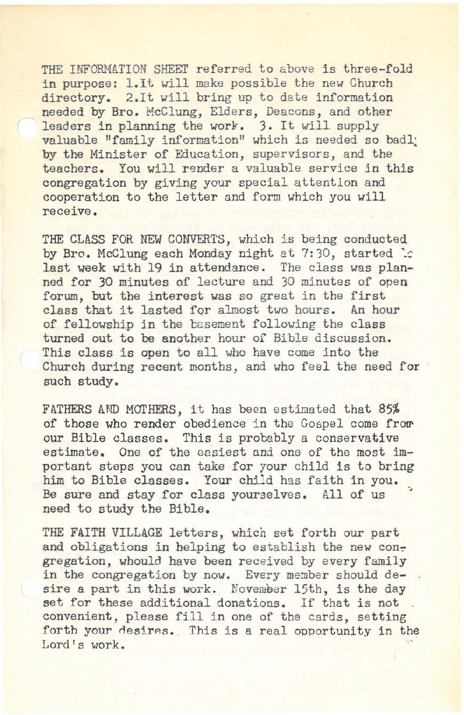THE INFORMATION SHEET referred to above is three-fold in purpose: 1.It will make possible the new Church directory. 2.It will bring up to date information needed by Bro. McClung, Elders, Deacons, and other leaders in planning the work. 3. It will supply valuable "family information" which is needed so badly by the Minister of Education, supervisors, and the teachers. You will render a valuable service in this congregation by giving your special attention and cooperation to the letter and form which you will **receive.**

THE CLASS FOR NEW CONVERTS, which is being conducted by Bro. McClung each Monday night at 7:30, started : last week with 19 in attendance. The class was planned for 30 minutes of lecture and 30 minutes of open forum, but the interest was so great in the first class that it lasted for almost two hours. An hour of fellowship in the basement following the class turned out to be another hour of Bible discussion. This class is open to all who have come into the Church during recent months, and who feel the need for such study.

FATHERS AND MOTHERS, it has been estimated that 85% of those who render obedience in the Gospel come frow our Bible classes. This is probably a conservative estimate. One of the easiest and one of the most important steps you can take for your child is to bring him to Bible classes. Your child has faith in you. Be sure and stay for class yourselves. All of us need to study the Bible.

THE FAITH VILLAGE letters, which set forth our part and obligations in helping to establish the new congregation, whould have been received by every family in the congregation by now. Every member should desire a part in this work. November 15th, is the day set for these additional donations. If that is not. convenient, please fill in one of the cards, setting forth your desires. This is a real opportunity in the Lord's work.